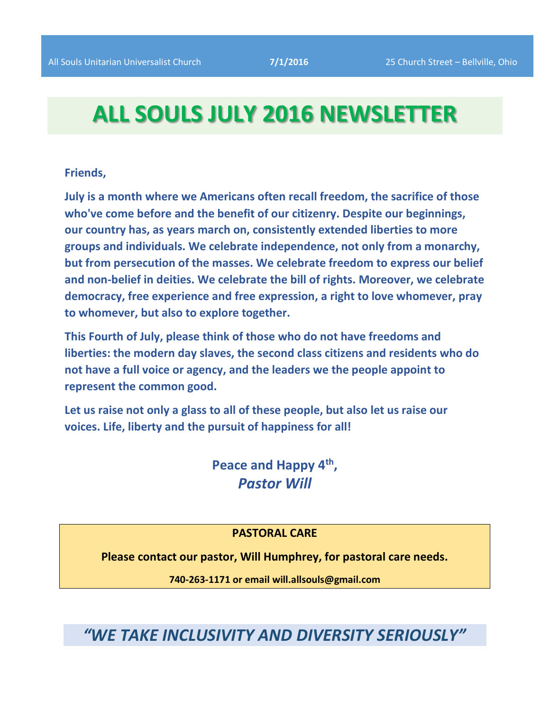# **ALL SOULS JULY 2016 NEWSLETTER**

#### **Friends,**

**July is a month where we Americans often recall freedom, the sacrifice of those who've come before and the benefit of our citizenry. Despite our beginnings, our country has, as years march on, consistently extended liberties to more groups and individuals. We celebrate independence, not only from a monarchy, but from persecution of the masses. We celebrate freedom to express our belief and non-belief in deities. We celebrate the bill of rights. Moreover, we celebrate democracy, free experience and free expression, a right to love whomever, pray to whomever, but also to explore together.**

**This Fourth of July, please think of those who do not have freedoms and liberties: the modern day slaves, the second class citizens and residents who do not have a full voice or agency, and the leaders we the people appoint to represent the common good.**

**Let us raise not only a glass to all of these people, but also let us raise our voices. Life, liberty and the pursuit of happiness for all!**

> **Peace and Happy 4th ,** *Pastor Will*

#### **PASTORAL CARE**

**Please contact our pastor, Will Humphrey, for pastoral care needs.**

**740-263-1171 or email will.allsouls@gmail.com**

*"WE TAKE INCLUSIVITY AND DIVERSITY SERIOUSLY"*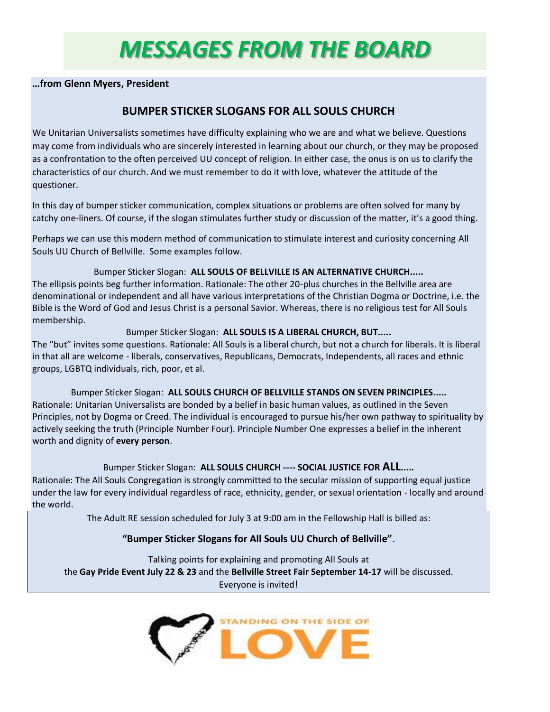# *MESSAGES FROM THE BOARD*

#### **…from Glenn Myers, President**

## **BUMPER STICKER SLOGANS FOR ALL SOULS CHURCH**

We Unitarian Universalists sometimes have difficulty explaining who we are and what we believe. Questions may come from individuals who are sincerely interested in learning about our church, or they may be proposed as a confrontation to the often perceived UU concept of religion. In either case, the onus is on us to clarify the characteristics of our church. And we must remember to do it with love, whatever the attitude of the questioner.

In this day of bumper sticker communication, complex situations or problems are often solved for many by catchy one-liners. Of course, if the slogan stimulates further study or discussion of the matter, it's a good thing.

Perhaps we can use this modern method of communication to stimulate interest and curiosity concerning All Souls UU Church of Bellville. Some examples follow.

Bumper Sticker Slogan: **ALL SOULS OF BELLVILLE IS AN ALTERNATIVE CHURCH.....**

The ellipsis points beg further information. Rationale: The other 20-plus churches in the Bellville area are denominational or independent and all have various interpretations of the Christian Dogma or Doctrine, i.e. the Bible is the Word of God and Jesus Christ is a personal Savior. Whereas, there is no religious test for All Souls membership.

#### Bumper Sticker Slogan: **ALL SOULS IS A LIBERAL CHURCH, BUT.....**

The "but" invites some questions. Rationale: All Souls is a liberal church, but not a church for liberals. It is liberal in that all are welcome - liberals, conservatives, Republicans, Democrats, Independents, all races and ethnic groups, LGBTQ individuals, rich, poor, et al.

Bumper Sticker Slogan: **ALL SOULS CHURCH OF BELLVILLE STANDS ON SEVEN PRINCIPLES.....** Rationale: Unitarian Universalists are bonded by a belief in basic human values, as outlined in the Seven Principles, not by Dogma or Creed. The individual is encouraged to pursue his/her own pathway to spirituality by actively seeking the truth (Principle Number Four). Principle Number One expresses a belief in the inherent worth and dignity of **every person**.

#### Bumper Sticker Slogan: **ALL SOULS CHURCH ---- SOCIAL JUSTICE FOR ALL.....**

Rationale: The All Souls Congregation is strongly committed to the secular mission of supporting equal justice under the law for every individual regardless of race, ethnicity, gender, or sexual orientation - locally and around the world.

The Adult RE session scheduled for July 3 at 9:00 am in the Fellowship Hall is billed as:

#### **"Bumper Sticker Slogans for All Souls UU Church of Bellville"**.

Talking points for explaining and promoting All Souls at the **Gay Pride Event July 22 & 23** and the **Bellville Street Fair September 14-17** will be discussed. Everyone is invited!

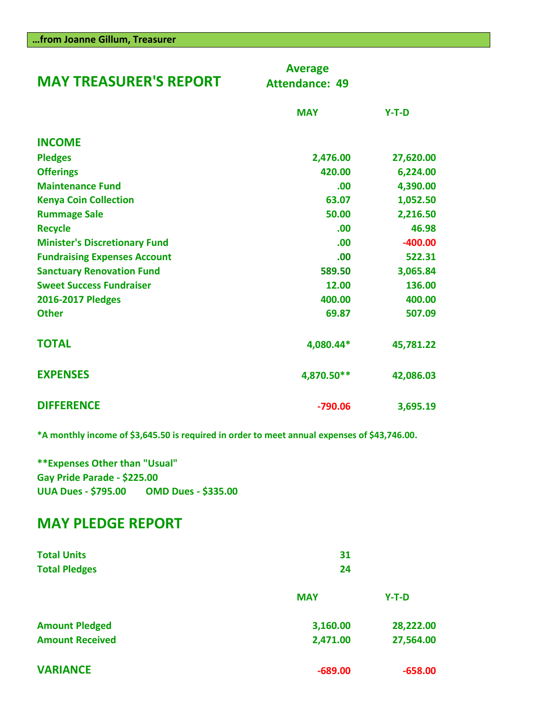| <b>MAY TREASURER'S REPORT</b>        | <b>Average</b><br><b>Attendance: 49</b> |           |
|--------------------------------------|-----------------------------------------|-----------|
|                                      | <b>MAY</b>                              | $Y-T-D$   |
| <b>INCOME</b>                        |                                         |           |
| <b>Pledges</b>                       | 2,476.00                                | 27,620.00 |
| <b>Offerings</b>                     | 420.00                                  | 6,224.00  |
| <b>Maintenance Fund</b>              | .00                                     | 4,390.00  |
| <b>Kenya Coin Collection</b>         | 63.07                                   | 1,052.50  |
| <b>Rummage Sale</b>                  | 50.00                                   | 2,216.50  |
| <b>Recycle</b>                       | .00                                     | 46.98     |
| <b>Minister's Discretionary Fund</b> | .00                                     | $-400.00$ |
| <b>Fundraising Expenses Account</b>  | .00                                     | 522.31    |
| <b>Sanctuary Renovation Fund</b>     | 589.50                                  | 3,065.84  |
| <b>Sweet Success Fundraiser</b>      | 12.00                                   | 136.00    |
| 2016-2017 Pledges                    | 400.00                                  | 400.00    |
| <b>Other</b>                         | 69.87                                   | 507.09    |
| <b>TOTAL</b>                         | 4,080.44*                               | 45,781.22 |
| <b>EXPENSES</b>                      | 4,870.50**                              | 42,086.03 |
| <b>DIFFERENCE</b>                    | $-790.06$                               | 3,695.19  |

**\*A monthly income of \$3,645.50 is required in order to meet annual expenses of \$43,746.00.**

**\*\*Expenses Other than "Usual" Gay Pride Parade - \$225.00 UUA Dues - \$795.00 OMD Dues - \$335.00**

# **MAY PLEDGE REPORT**

| <b>Total Units</b><br><b>Total Pledges</b> | 31<br>24   |           |  |
|--------------------------------------------|------------|-----------|--|
|                                            | <b>MAY</b> | $Y-T-D$   |  |
| <b>Amount Pledged</b>                      | 3,160.00   | 28,222.00 |  |
| <b>Amount Received</b>                     | 2,471.00   | 27,564.00 |  |
| <b>VARIANCE</b>                            | $-689.00$  | $-658.00$ |  |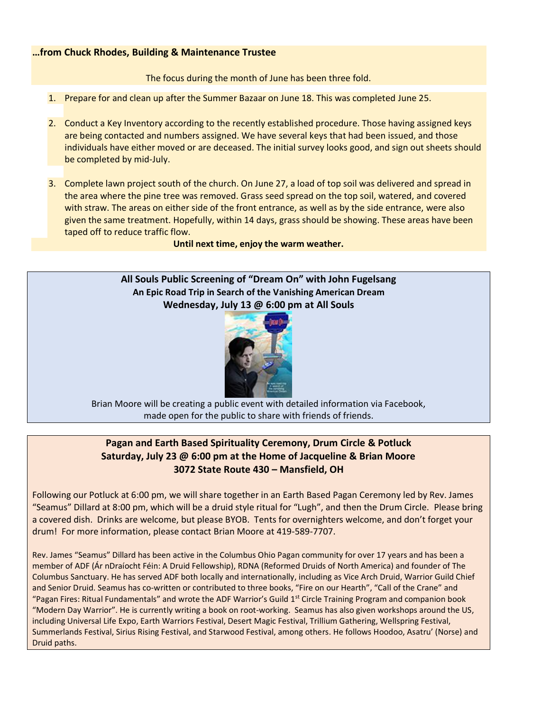#### **…from Chuck Rhodes, Building & Maintenance Trustee**

The focus during the month of June has been three fold.

- 1. Prepare for and clean up after the Summer Bazaar on June 18. This was completed June 25.
- 2. Conduct a Key Inventory according to the recently established procedure. Those having assigned keys are being contacted and numbers assigned. We have several keys that had been issued, and those individuals have either moved or are deceased. The initial survey looks good, and sign out sheets should be completed by mid-July.
- 3. Complete lawn project south of the church. On June 27, a load of top soil was delivered and spread in the area where the pine tree was removed. Grass seed spread on the top soil, watered, and covered with straw. The areas on either side of the front entrance, as well as by the side entrance, were also given the same treatment. Hopefully, within 14 days, grass should be showing. These areas have been taped off to reduce traffic flow.

**Until next time, enjoy the warm weather.**

#### **All Souls Public Screening of "Dream On" with John Fugelsang An Epic Road Trip in Search of the Vanishing American Dream Wednesday, July 13 @ 6:00 pm at All Souls**



Brian Moore will be creating a public event with detailed information via Facebook, made open for the public to share with friends of friends.

#### **Pagan and Earth Based Spirituality Ceremony, Drum Circle & Potluck Saturday, July 23 @ 6:00 pm at the Home of Jacqueline & Brian Moore 3072 State Route 430 – Mansfield, OH**

Following our Potluck at 6:00 pm, we will share together in an Earth Based Pagan Ceremony led by Rev. James "Seamus" Dillard at 8:00 pm, which will be a druid style ritual for "Lugh", and then the Drum Circle. Please bring a covered dish. Drinks are welcome, but please BYOB. Tents for overnighters welcome, and don't forget your drum! For more information, please contact Brian Moore at 419-589-7707.

Rev. James "Seamus" Dillard has been active in the Columbus Ohio Pagan community for over 17 years and has been a member of ADF (Ár nDraíocht Féin: A Druid Fellowship), RDNA (Reformed Druids of North America) and founder of The Columbus Sanctuary. He has served ADF both locally and internationally, including as Vice Arch Druid, Warrior Guild Chief and Senior Druid. Seamus has co-written or contributed to three books, "Fire on our Hearth", "Call of the Crane" and "Pagan Fires: Ritual Fundamentals" and wrote the ADF Warrior's Guild 1<sup>st</sup> Circle Training Program and companion book "Modern Day Warrior". He is currently writing a book on root-working. Seamus has also given workshops around the US, including Universal Life Expo, Earth Warriors Festival, Desert Magic Festival, Trillium Gathering, Wellspring Festival, Summerlands Festival, Sirius Rising Festival, and Starwood Festival, among others. He follows Hoodoo, Asatru' (Norse) and Druid paths.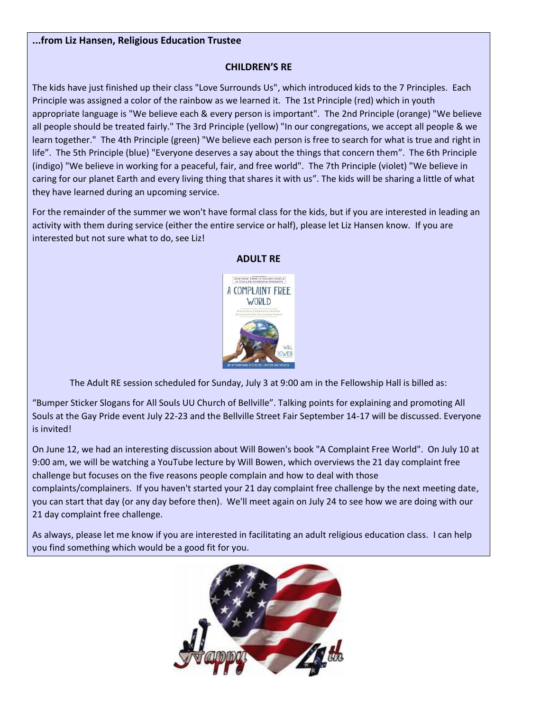#### **...from Liz Hansen, Religious Education Trustee**

#### **CHILDREN'S RE**

The kids have just finished up their class "Love Surrounds Us", which introduced kids to the 7 Principles. Each Principle was assigned a color of the rainbow as we learned it. The 1st Principle (red) which in youth appropriate language is "We believe each & every person is important". The 2nd Principle (orange) "We believe all people should be treated fairly." The 3rd Principle (yellow) "In our congregations, we accept all people & we learn together." The 4th Principle (green) "We believe each person is free to search for what is true and right in life". The 5th Principle (blue) "Everyone deserves a say about the things that concern them". The 6th Principle (indigo) "We believe in working for a peaceful, fair, and free world". The 7th Principle (violet) "We believe in caring for our planet Earth and every living thing that shares it with us". The kids will be sharing a little of what they have learned during an upcoming service.

For the remainder of the summer we won't have formal class for the kids, but if you are interested in leading an activity with them during service (either the entire service or half), please let Liz Hansen know. If you are interested but not sure what to do, see Liz!



#### **ADULT RE**

The Adult RE session scheduled for Sunday, July 3 at 9:00 am in the Fellowship Hall is billed as:

"Bumper Sticker Slogans for All Souls UU Church of Bellville". Talking points for explaining and promoting All Souls at the Gay Pride event July 22-23 and the Bellville Street Fair September 14-17 will be discussed. Everyone is invited!

On June 12, we had an interesting discussion about Will Bowen's book "A Complaint Free World". On July 10 at 9:00 am, we will be watching a YouTube lecture by Will Bowen, which overviews the 21 day complaint free challenge but focuses on the five reasons people complain and how to deal with those

complaints/complainers. If you haven't started your 21 day complaint free challenge by the next meeting date, you can start that day (or any day before then). We'll meet again on July 24 to see how we are doing with our 21 day complaint free challenge.

As always, please let me know if you are interested in facilitating an adult religious education class. I can help you find something which would be a good fit for you.

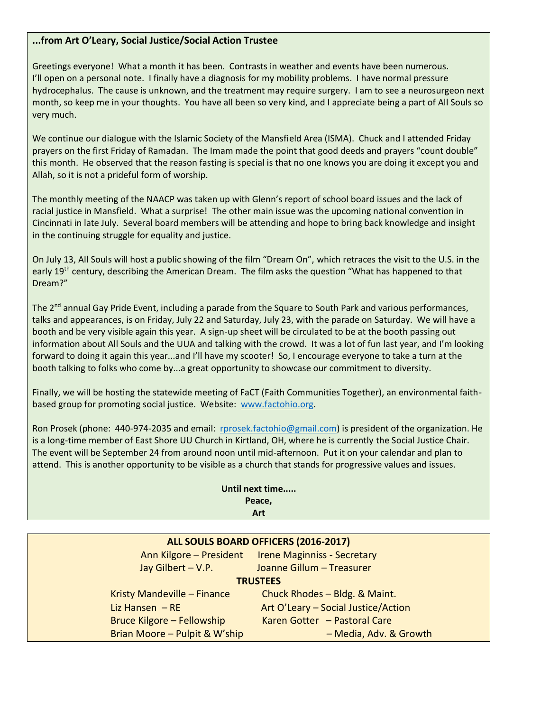#### **...from Art O'Leary, Social Justice/Social Action Trustee**

Greetings everyone! What a month it has been. Contrasts in weather and events have been numerous. I'll open on a personal note. I finally have a diagnosis for my mobility problems. I have normal pressure hydrocephalus. The cause is unknown, and the treatment may require surgery. I am to see a neurosurgeon next month, so keep me in your thoughts. You have all been so very kind, and I appreciate being a part of All Souls so very much.

We continue our dialogue with the Islamic Society of the Mansfield Area (ISMA). Chuck and I attended Friday prayers on the first Friday of Ramadan. The Imam made the point that good deeds and prayers "count double" this month. He observed that the reason fasting is special is that no one knows you are doing it except you and Allah, so it is not a prideful form of worship.

The monthly meeting of the NAACP was taken up with Glenn's report of school board issues and the lack of racial justice in Mansfield. What a surprise! The other main issue was the upcoming national convention in Cincinnati in late July. Several board members will be attending and hope to bring back knowledge and insight in the continuing struggle for equality and justice.

On July 13, All Souls will host a public showing of the film "Dream On", which retraces the visit to the U.S. in the early 19<sup>th</sup> century, describing the American Dream. The film asks the question "What has happened to that Dream?"

The 2<sup>nd</sup> annual Gay Pride Event, including a parade from the Square to South Park and various performances, talks and appearances, is on Friday, July 22 and Saturday, July 23, with the parade on Saturday. We will have a booth and be very visible again this year. A sign-up sheet will be circulated to be at the booth passing out information about All Souls and the UUA and talking with the crowd. It was a lot of fun last year, and I'm looking forward to doing it again this year...and I'll have my scooter! So, I encourage everyone to take a turn at the booth talking to folks who come by...a great opportunity to showcase our commitment to diversity.

Finally, we will be hosting the statewide meeting of FaCT (Faith Communities Together), an environmental faithbased group for promoting social justice. Website: [www.factohio.org.](http://www.factohio.org/)

Ron Prosek (phone: 440-974-2035 and email: [rprosek.factohio@gmail.com\)](mailto:rprosek.factohio@gmail.com) is president of the organization. He is a long-time member of East Shore UU Church in Kirtland, OH, where he is currently the Social Justice Chair. The event will be September 24 from around noon until mid-afternoon. Put it on your calendar and plan to attend. This is another opportunity to be visible as a church that stands for progressive values and issues.

|        |     | Until next time |  |  |
|--------|-----|-----------------|--|--|
| Peace. |     |                 |  |  |
|        | Art |                 |  |  |

| ALL SOULS BOARD OFFICERS (2016-2017) |                                                     |  |  |
|--------------------------------------|-----------------------------------------------------|--|--|
|                                      | Ann Kilgore - President Irene Maginniss - Secretary |  |  |
| Jay Gilbert - V.P.                   | Joanne Gillum - Treasurer                           |  |  |
| <b>TRUSTEES</b>                      |                                                     |  |  |
| Kristy Mandeville - Finance          | Chuck Rhodes - Bldg. & Maint.                       |  |  |
| Liz Hansen $-RE$                     | Art O'Leary - Social Justice/Action                 |  |  |

Bruce Kilgore – Fellowship Karen Gotter – Pastoral Care Brian Moore – Pulpit & W'ship – Media, Adv. & Growth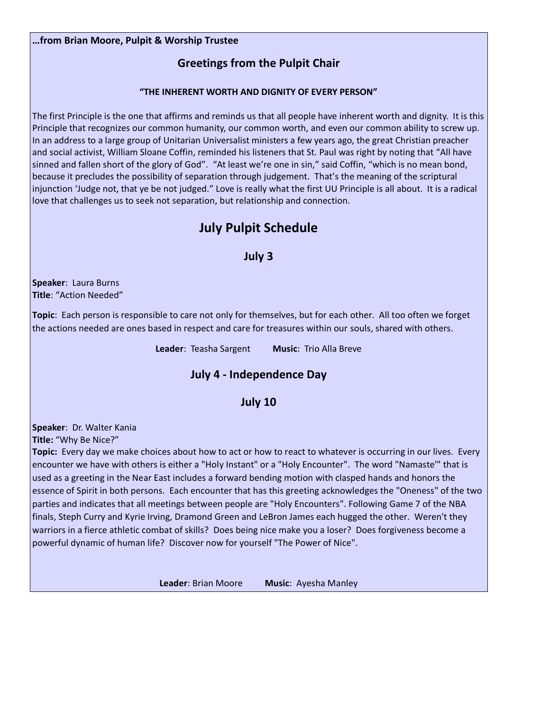#### **…from Brian Moore, Pulpit & Worship Trustee**

## **Greetings from the Pulpit Chair**

#### **"THE INHERENT WORTH AND DIGNITY OF EVERY PERSON"**

The first Principle is the one that affirms and reminds us that all people have inherent worth and dignity. It is this Principle that recognizes our common humanity, our common worth, and even our common ability to screw up. In an address to a large group of Unitarian Universalist ministers a few years ago, the great Christian preacher and social activist, William Sloane Coffin, reminded his listeners that St. Paul was right by noting that "All have sinned and fallen short of the glory of God". "At least we're one in sin," said Coffin, "which is no mean bond, because it precludes the possibility of separation through judgement. That's the meaning of the scriptural injunction 'Judge not, that ye be not judged." Love is really what the first UU Principle is all about. It is a radical love that challenges us to seek not separation, but relationship and connection.

# **July Pulpit Schedule**

#### **July 3**

**Speaker**: Laura Burns **Title**: "Action Needed"

**Topic**: Each person is responsible to care not only for themselves, but for each other. All too often we forget the actions needed are ones based in respect and care for treasures within our souls, shared with others.

**Leader**: Teasha Sargent **Music**: Trio Alla Breve

# **July 4 - Independence Day**

#### **July 10**

**Speaker**: Dr. Walter Kania

**Title:** "Why Be Nice?"

**Topic:** Every day we make choices about how to act or how to react to whatever is occurring in our lives. Every encounter we have with others is either a "Holy Instant" or a "Holy Encounter". The word "Namaste'" that is used as a greeting in the Near East includes a forward bending motion with clasped hands and honors the essence of Spirit in both persons. Each encounter that has this greeting acknowledges the "Oneness" of the two parties and indicates that all meetings between people are "Holy Encounters". Following Game 7 of the NBA finals, Steph Curry and Kyrie Irving, Dramond Green and LeBron James each hugged the other. Weren't they warriors in a fierce athletic combat of skills? Does being nice make you a loser? Does forgiveness become a powerful dynamic of human life? Discover now for yourself "The Power of Nice".

**Leader**: Brian Moore **Music**: Ayesha Manley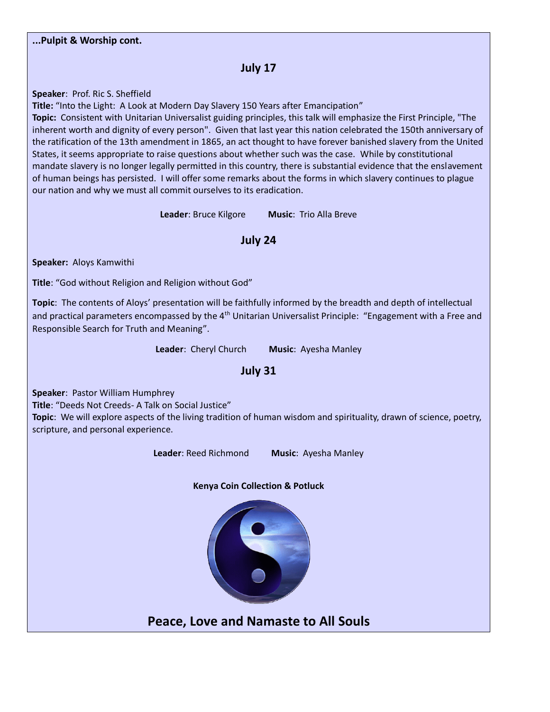## **July 17**

**Speaker**: Prof. Ric S. Sheffield

**Title:** "Into the Light: A Look at Modern Day Slavery 150 Years after Emancipation"

**Topic:** Consistent with Unitarian Universalist guiding principles, this talk will emphasize the First Principle, "The inherent worth and dignity of every person". Given that last year this nation celebrated the 150th anniversary of the ratification of the 13th amendment in 1865, an act thought to have forever banished slavery from the United States, it seems appropriate to raise questions about whether such was the case. While by constitutional mandate slavery is no longer legally permitted in this country, there is substantial evidence that the enslavement of human beings has persisted. I will offer some remarks about the forms in which slavery continues to plague our nation and why we must all commit ourselves to its eradication.

**Leader**: Bruce Kilgore **Music**: Trio Alla Breve

**July 24**

**Speaker:** Aloys Kamwithi

**Title**: "God without Religion and Religion without God"

**Topic**: The contents of Aloys' presentation will be faithfully informed by the breadth and depth of intellectual and practical parameters encompassed by the 4<sup>th</sup> Unitarian Universalist Principle: "Engagement with a Free and Responsible Search for Truth and Meaning".

**Leader**: Cheryl Church **Music**: Ayesha Manley

## **July 31**

**Speaker**: Pastor William Humphrey

**Title**: "Deeds Not Creeds- A Talk on Social Justice"

**Topic**: We will explore aspects of the living tradition of human wisdom and spirituality, drawn of science, poetry, scripture, and personal experience.

**Leader**: Reed Richmond **Music**: Ayesha Manley





**Peace, Love and Namaste to All Souls**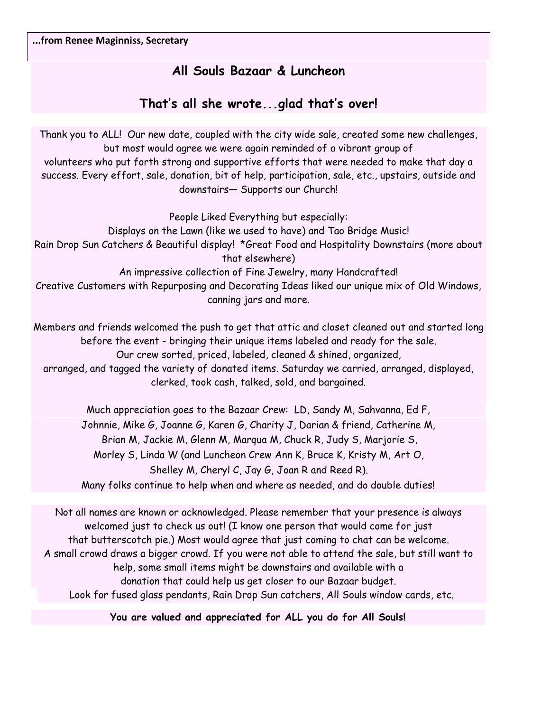# **All Souls Bazaar & Luncheon**

# **That's all she wrote...glad that's over!**

Thank you to ALL! Our new date, coupled with the city wide sale, created some new challenges, but most would agree we were again reminded of a vibrant group of volunteers who put forth strong and supportive efforts that were needed to make that day a success. Every effort, sale, donation, bit of help, participation, sale, etc., upstairs, outside and downstairs— Supports our Church!

People Liked Everything but especially: Displays on the Lawn (like we used to have) and Tao Bridge Music! Rain Drop Sun Catchers & Beautiful display! \*Great Food and Hospitality Downstairs (more about that elsewhere) An impressive collection of Fine Jewelry, many Handcrafted!

Creative Customers with Repurposing and Decorating Ideas liked our unique mix of Old Windows, canning jars and more.

Members and friends welcomed the push to get that attic and closet cleaned out and started long before the event - bringing their unique items labeled and ready for the sale. Our crew sorted, priced, labeled, cleaned & shined, organized, arranged, and tagged the variety of donated items. Saturday we carried, arranged, displayed, clerked, took cash, talked, sold, and bargained.

> Much appreciation goes to the Bazaar Crew: LD, Sandy M, Sahvanna, Ed F, Johnnie, Mike G, Joanne G, Karen G, Charity J, Darian & friend, Catherine M, Brian M, Jackie M, Glenn M, Marqua M, Chuck R, Judy S, Marjorie S, Morley S, Linda W (and Luncheon Crew Ann K, Bruce K, Kristy M, Art O, Shelley M, Cheryl C, Jay G, Joan R and Reed R). Many folks continue to help when and where as needed, and do double duties!

Not all names are known or acknowledged. Please remember that your presence is always welcomed just to check us out! (I know one person that would come for just that butterscotch pie.) Most would agree that just coming to chat can be welcome. A small crowd draws a bigger crowd. If you were not able to attend the sale, but still want to help, some small items might be downstairs and available with a donation that could help us get closer to our Bazaar budget. Look for fused glass pendants, Rain Drop Sun catchers, All Souls window cards, etc.

**You are valued and appreciated for ALL you do for All Souls!**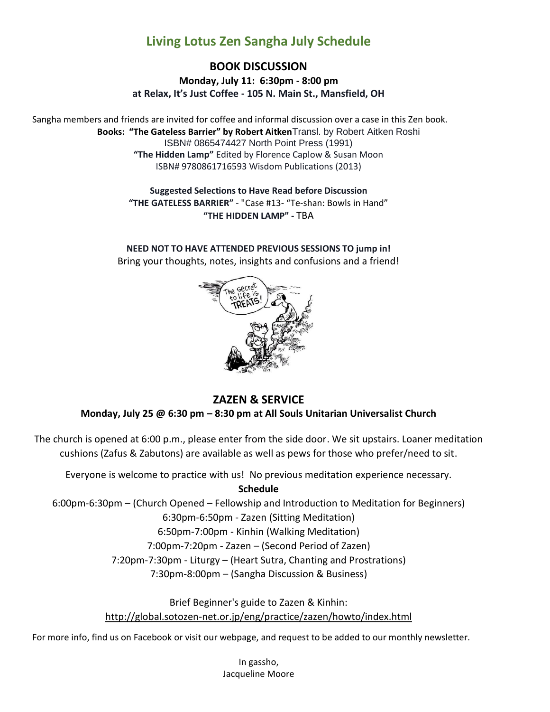# **Living Lotus Zen Sangha July Schedule**

## **BOOK DISCUSSION**

**Monday, July 11: 6:30pm - 8:00 pm at Relax, It's Just Coffee - 105 N. Main St., Mansfield, OH**

Sangha members and friends are invited for coffee and informal discussion over a case in this Zen book. **Books: "The Gateless Barrier" by Robert Aitken**Transl. by Robert Aitken Roshi ISBN# 0865474427 North Point Press (1991) **"The Hidden Lamp"** Edited by Florence Caplow & Susan Moon ISBN# 9780861716593 Wisdom Publications (2013)

> **Suggested Selections to Have Read before Discussion "THE GATELESS BARRIER"** - "Case #13- "Te-shan: Bowls in Hand" **"THE HIDDEN LAMP" -** TBA

**NEED NOT TO HAVE ATTENDED PREVIOUS SESSIONS TO jump in!** Bring your thoughts, notes, insights and confusions and a friend!



## **ZAZEN & SERVICE**

**Monday, July 25 @ 6:30 pm – 8:30 pm at All Souls Unitarian Universalist Church**

The church is opened at 6:00 p.m., please enter from the side door. We sit upstairs. Loaner meditation cushions (Zafus & Zabutons) are available as well as pews for those who prefer/need to sit.

Everyone is welcome to practice with us! No previous meditation experience necessary.

**Schedule**

6:00pm-6:30pm – (Church Opened – Fellowship and Introduction to Meditation for Beginners) 6:30pm-6:50pm - Zazen (Sitting Meditation) 6:50pm-7:00pm - Kinhin (Walking Meditation)

7:00pm-7:20pm - Zazen – (Second Period of Zazen)

7:20pm-7:30pm - Liturgy – (Heart Sutra, Chanting and Prostrations)

7:30pm-8:00pm – (Sangha Discussion & Business)

Brief Beginner's guide to Zazen & Kinhin: [http://global.sotozen-net.or.jp/eng/practice/zazen/howto/index.html](http://l.facebook.com/?u=http%3A%2F%2Fglobal.sotozen-net.or.jp%2Feng%2Fpractice%2Fzazen%2Fhowto%2Findex.html&e=ATOXqawJM1--9N9v8oPw8oyhjopfFmZVyt2JFfRZL-qFiiYq8uBExuSIEUOSpg)

For more info, find us on Facebook or visit our webpage, and request to be added to our monthly newsletter.

In gassho, Jacqueline Moore